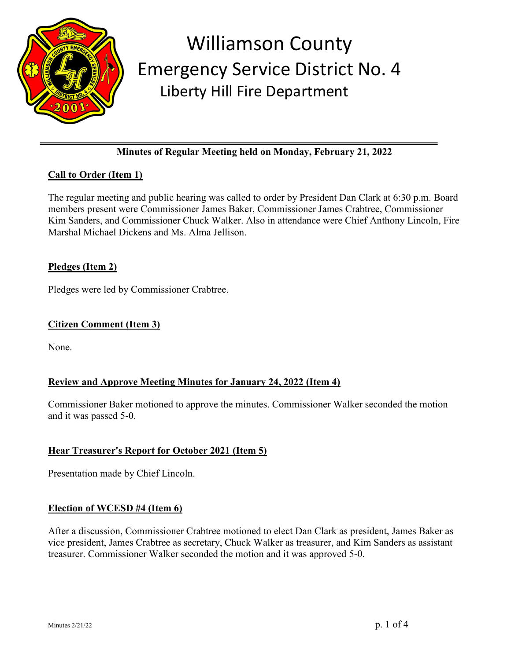

# **Minutes of Regular Meeting held on Monday, February 21, 2022**

# **Call to Order (Item 1)**

The regular meeting and public hearing was called to order by President Dan Clark at 6:30 p.m. Board members present were Commissioner James Baker, Commissioner James Crabtree, Commissioner Kim Sanders, and Commissioner Chuck Walker. Also in attendance were Chief Anthony Lincoln, Fire Marshal Michael Dickens and Ms. Alma Jellison.

#### **Pledges (Item 2)**

Pledges were led by Commissioner Crabtree.

#### **Citizen Comment (Item 3)**

None.

#### **Review and Approve Meeting Minutes for January 24, 2022 (Item 4)**

Commissioner Baker motioned to approve the minutes. Commissioner Walker seconded the motion and it was passed 5-0.

#### **Hear Treasurer's Report for October 2021 (Item 5)**

Presentation made by Chief Lincoln.

#### **Election of WCESD #4 (Item 6)**

After a discussion, Commissioner Crabtree motioned to elect Dan Clark as president, James Baker as vice president, James Crabtree as secretary, Chuck Walker as treasurer, and Kim Sanders as assistant treasurer. Commissioner Walker seconded the motion and it was approved 5-0.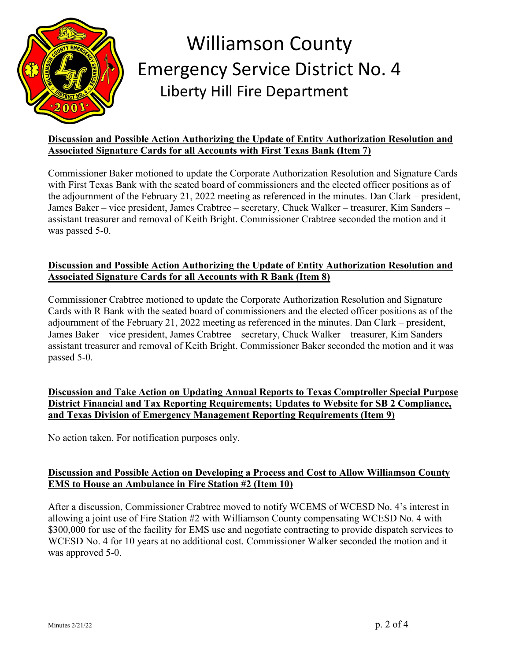

### **Discussion and Possible Action Authorizing the Update of Entity Authorization Resolution and Associated Signature Cards for all Accounts with First Texas Bank (Item 7)**

Commissioner Baker motioned to update the Corporate Authorization Resolution and Signature Cards with First Texas Bank with the seated board of commissioners and the elected officer positions as of the adjournment of the February 21, 2022 meeting as referenced in the minutes. Dan Clark – president, James Baker – vice president, James Crabtree – secretary, Chuck Walker – treasurer, Kim Sanders – assistant treasurer and removal of Keith Bright. Commissioner Crabtree seconded the motion and it was passed 5-0.

### **Discussion and Possible Action Authorizing the Update of Entity Authorization Resolution and Associated Signature Cards for all Accounts with R Bank (Item 8)**

Commissioner Crabtree motioned to update the Corporate Authorization Resolution and Signature Cards with R Bank with the seated board of commissioners and the elected officer positions as of the adjournment of the February 21, 2022 meeting as referenced in the minutes. Dan Clark – president, James Baker – vice president, James Crabtree – secretary, Chuck Walker – treasurer, Kim Sanders – assistant treasurer and removal of Keith Bright. Commissioner Baker seconded the motion and it was passed 5-0.

**Discussion and Take Action on Updating Annual Reports to Texas Comptroller Special Purpose District Financial and Tax Reporting Requirements; Updates to Website for SB 2 Compliance, and Texas Division of Emergency Management Reporting Requirements (Item 9)**

No action taken. For notification purposes only.

## **Discussion and Possible Action on Developing a Process and Cost to Allow Williamson County EMS to House an Ambulance in Fire Station #2 (Item 10)**

After a discussion, Commissioner Crabtree moved to notify WCEMS of WCESD No. 4's interest in allowing a joint use of Fire Station #2 with Williamson County compensating WCESD No. 4 with \$300,000 for use of the facility for EMS use and negotiate contracting to provide dispatch services to WCESD No. 4 for 10 years at no additional cost. Commissioner Walker seconded the motion and it was approved 5-0.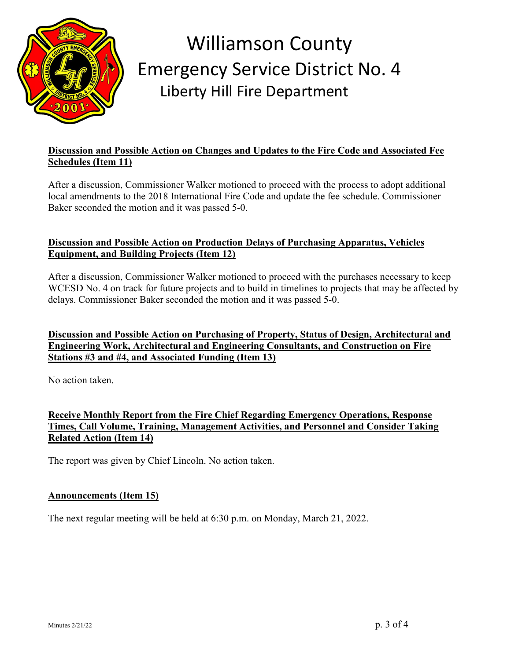

### **Discussion and Possible Action on Changes and Updates to the Fire Code and Associated Fee Schedules (Item 11)**

After a discussion, Commissioner Walker motioned to proceed with the process to adopt additional local amendments to the 2018 International Fire Code and update the fee schedule. Commissioner Baker seconded the motion and it was passed 5-0.

## **Discussion and Possible Action on Production Delays of Purchasing Apparatus, Vehicles Equipment, and Building Projects (Item 12)**

After a discussion, Commissioner Walker motioned to proceed with the purchases necessary to keep WCESD No. 4 on track for future projects and to build in timelines to projects that may be affected by delays. Commissioner Baker seconded the motion and it was passed 5-0.

# **Discussion and Possible Action on Purchasing of Property, Status of Design, Architectural and Engineering Work, Architectural and Engineering Consultants, and Construction on Fire Stations #3 and #4, and Associated Funding (Item 13)**

No action taken.

**Receive Monthly Report from the Fire Chief Regarding Emergency Operations, Response Times, Call Volume, Training, Management Activities, and Personnel and Consider Taking Related Action (Item 14)**

The report was given by Chief Lincoln. No action taken.

#### **Announcements (Item 15)**

The next regular meeting will be held at 6:30 p.m. on Monday, March 21, 2022.